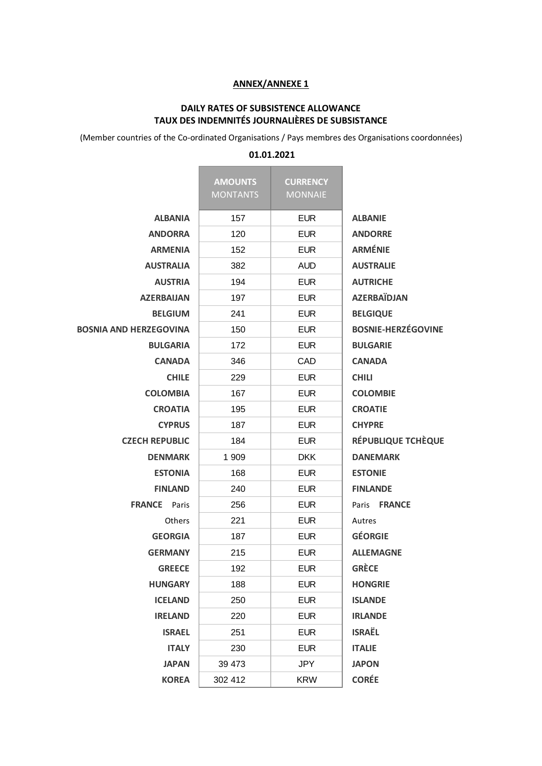#### **ANNEX/ANNEXE 1**

### **DAILY RATES OF SUBSISTENCE ALLOWANCE TAUX DES INDEMNITÉS JOURNALIÈRES DE SUBSISTANCE**

(Member countries of the Co-ordinated Organisations / Pays membres des Organisations coordonnées)

#### **01.01.2021**

|                               | <b>AMOUNTS</b><br><b>MONTANTS</b> | <b>CURRENCY</b><br><b>MONNAIE</b> |                           |  |
|-------------------------------|-----------------------------------|-----------------------------------|---------------------------|--|
| <b>ALBANIA</b>                | 157                               | <b>EUR</b>                        | <b>ALBANIE</b>            |  |
| <b>ANDORRA</b>                | 120                               | <b>EUR</b>                        | <b>ANDORRE</b>            |  |
| <b>ARMENIA</b>                | 152                               | <b>EUR</b>                        | <b>ARMÉNIE</b>            |  |
| <b>AUSTRALIA</b>              | 382                               | <b>AUD</b>                        | <b>AUSTRALIE</b>          |  |
| <b>AUSTRIA</b>                | 194                               | <b>EUR</b>                        | <b>AUTRICHE</b>           |  |
| <b>AZERBAIJAN</b>             | 197                               | <b>EUR</b>                        | <b>AZERBAÏDJAN</b>        |  |
| <b>BELGIUM</b>                | 241                               | <b>EUR</b>                        | <b>BELGIQUE</b>           |  |
| <b>BOSNIA AND HERZEGOVINA</b> | 150                               | <b>EUR</b>                        | <b>BOSNIE-HERZÉGOVINE</b> |  |
| <b>BULGARIA</b>               | 172                               | <b>EUR</b>                        | <b>BULGARIE</b>           |  |
| <b>CANADA</b>                 | 346                               | CAD                               | <b>CANADA</b>             |  |
| <b>CHILE</b>                  | 229                               | <b>EUR</b>                        | <b>CHILI</b>              |  |
| <b>COLOMBIA</b>               | 167                               | <b>EUR</b>                        | <b>COLOMBIE</b>           |  |
| <b>CROATIA</b>                | 195                               | <b>EUR</b>                        | <b>CROATIE</b>            |  |
| <b>CYPRUS</b>                 | 187                               | <b>EUR</b>                        | <b>CHYPRE</b>             |  |
| <b>CZECH REPUBLIC</b>         | 184                               | <b>EUR</b>                        | <b>RÉPUBLIQUE TCHÈQUE</b> |  |
| <b>DENMARK</b>                | 1 909                             | <b>DKK</b>                        | <b>DANEMARK</b>           |  |
| <b>ESTONIA</b>                | 168                               | <b>EUR</b>                        | <b>ESTONIE</b>            |  |
| <b>FINLAND</b>                | 240                               | <b>EUR</b>                        | <b>FINLANDE</b>           |  |
| <b>FRANCE</b> Paris           | 256                               | <b>EUR</b>                        | <b>FRANCE</b><br>Paris    |  |
| <b>Others</b>                 | 221                               | <b>EUR</b>                        | Autres                    |  |
| <b>GEORGIA</b>                | 187                               | <b>EUR</b>                        | <b>GÉORGIE</b>            |  |
| <b>GERMANY</b>                | 215                               | <b>EUR</b>                        | <b>ALLEMAGNE</b>          |  |
| <b>GREECE</b>                 | 192                               | <b>EUR</b>                        | <b>GRÈCE</b>              |  |
| <b>HUNGARY</b>                | 188                               | <b>EUR</b>                        | <b>HONGRIE</b>            |  |
| <b>ICELAND</b>                | 250                               | <b>EUR</b>                        | <b>ISLANDE</b>            |  |
| <b>IRELAND</b>                | 220                               | <b>EUR</b>                        | <b>IRLANDE</b>            |  |
| <b>ISRAEL</b>                 | 251                               | <b>EUR</b>                        | <b>ISRAËL</b>             |  |
| <b>ITALY</b>                  | 230                               | <b>EUR</b>                        | <b>ITALIE</b>             |  |
| <b>JAPAN</b>                  | 39 473                            | <b>JPY</b>                        | <b>JAPON</b>              |  |
| <b>KOREA</b>                  | 302 412                           | <b>KRW</b>                        | <b>CORÉE</b>              |  |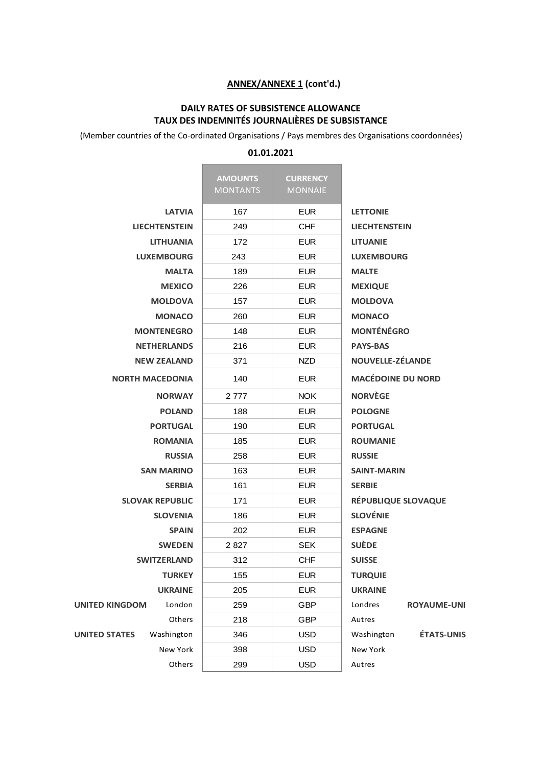# **ANNEX/ANNEXE 1 (cont'd.)**

### **DAILY RATES OF SUBSISTENCE ALLOWANCE TAUX DES INDEMNITÉS JOURNALIÈRES DE SUBSISTANCE**

(Member countries of the Co-ordinated Organisations / Pays membres des Organisations coordonnées)

#### **01.01.2021**

|                                    | <b>AMOUNTS</b><br><b>MONTANTS</b> | <b>CURRENCY</b><br><b>MONNAIE</b> |                                 |  |
|------------------------------------|-----------------------------------|-----------------------------------|---------------------------------|--|
| <b>LATVIA</b>                      | 167                               | EUR.                              | <b>LETTONIE</b>                 |  |
| <b>LIECHTENSTEIN</b>               | 249                               | CHF.                              | <b>LIECHTENSTEIN</b>            |  |
| <b>LITHUANIA</b>                   | 172                               | <b>EUR</b>                        | <b>LITUANIE</b>                 |  |
| <b>LUXEMBOURG</b>                  | 243                               | <b>EUR</b>                        | <b>LUXEMBOURG</b>               |  |
| <b>MALTA</b>                       | 189                               | <b>EUR</b>                        | <b>MALTE</b>                    |  |
| <b>MEXICO</b>                      | 226                               | EUR.                              | <b>MEXIQUE</b>                  |  |
| <b>MOLDOVA</b>                     | 157                               | <b>EUR</b>                        | <b>MOLDOVA</b>                  |  |
| <b>MONACO</b>                      | 260                               | EUR.                              | <b>MONACO</b>                   |  |
| <b>MONTENEGRO</b>                  | 148                               | <b>EUR</b>                        | <b>MONTÉNÉGRO</b>               |  |
| <b>NETHERLANDS</b>                 | 216                               | <b>EUR</b>                        | <b>PAYS-BAS</b>                 |  |
| <b>NEW ZEALAND</b>                 | 371                               | <b>NZD</b>                        | <b>NOUVELLE-ZÉLANDE</b>         |  |
| <b>NORTH MACEDONIA</b>             | 140                               | <b>EUR</b>                        | <b>MACÉDOINE DU NORD</b>        |  |
| <b>NORWAY</b>                      | 2 7 7 7                           | <b>NOK</b>                        | <b>NORVÈGE</b>                  |  |
| <b>POLAND</b>                      | 188                               | <b>EUR</b>                        | <b>POLOGNE</b>                  |  |
| <b>PORTUGAL</b>                    | 190                               | EUR.                              | <b>PORTUGAL</b>                 |  |
| <b>ROMANIA</b>                     | 185                               | <b>EUR</b>                        | <b>ROUMANIE</b>                 |  |
| <b>RUSSIA</b>                      | 258                               | EUR.                              | <b>RUSSIE</b>                   |  |
| <b>SAN MARINO</b>                  | 163                               | <b>EUR</b>                        | <b>SAINT-MARIN</b>              |  |
| <b>SERBIA</b>                      | 161                               | <b>EUR</b>                        | <b>SERBIE</b>                   |  |
| <b>SLOVAK REPUBLIC</b>             | 171                               | <b>EUR</b>                        | RÉPUBLIQUE SLOVAQUE             |  |
| <b>SLOVENIA</b>                    | 186                               | EUR.                              | <b>SLOVÉNIE</b>                 |  |
| <b>SPAIN</b>                       | 202                               | <b>EUR</b>                        | <b>ESPAGNE</b>                  |  |
| <b>SWEDEN</b>                      | 2827                              | <b>SEK</b>                        | <b>SUÈDE</b>                    |  |
| <b>SWITZERLAND</b>                 | 312                               | <b>CHF</b>                        | <b>SUISSE</b>                   |  |
| <b>TURKEY</b>                      | 155                               | <b>EUR</b>                        | <b>TURQUIE</b>                  |  |
| <b>UKRAINE</b>                     | 205                               | <b>EUR</b>                        | <b>UKRAINE</b>                  |  |
| London<br><b>UNITED KINGDOM</b>    | 259                               | GBP                               | Londres<br><b>ROYAUME-UNI</b>   |  |
| Others                             | 218                               | GBP                               | Autres                          |  |
| <b>UNITED STATES</b><br>Washington | 346                               | <b>USD</b>                        | <b>ÉTATS-UNIS</b><br>Washington |  |
| New York                           | 398                               | <b>USD</b>                        | New York                        |  |
| Others                             | 299                               | <b>USD</b>                        | Autres                          |  |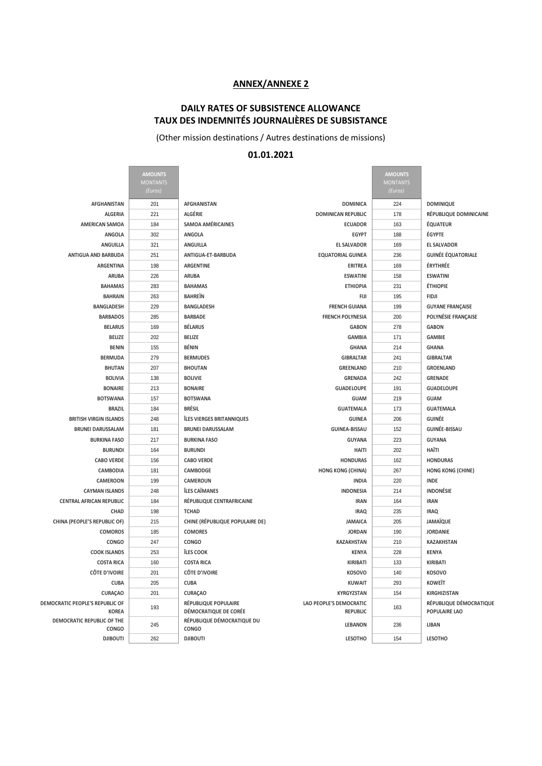### **ANNEX/ANNEXE 2**

# **DAILY RATES OF SUBSISTENCE ALLOWANCE TAUX DES INDEMNITÉS JOURNALIÈRES DE SUBSISTANCE**

(Other mission destinations / Autres destinations de missions)

# **01.01.2021**

<u> The Common State Common Sta</u>

<u> The Common State Common Sta</u>

|                                            | <b>AMOUNTS</b>  |                                            |                           | <b>AMOUNTS</b>  |                           |
|--------------------------------------------|-----------------|--------------------------------------------|---------------------------|-----------------|---------------------------|
|                                            | <b>MONTANTS</b> |                                            |                           | <b>MONTANTS</b> |                           |
|                                            | (Euros)         |                                            |                           | (Euros)         |                           |
| <b>AFGHANISTAN</b>                         | 201             | <b>AFGHANISTAN</b>                         | <b>DOMINICA</b>           | 224             | <b>DOMINIQUE</b>          |
| <b>ALGERIA</b>                             | 221             | <b>ALGÉRIE</b>                             | <b>DOMINICAN REPUBLIC</b> | 178             | RÉPUBLIQUE DOMINICAINE    |
| <b>AMERICAN SAMOA</b>                      | 184             | <b>SAMOA AMÉRICAINES</b>                   | <b>ECUADOR</b>            | 163             | <b>ÉQUATEUR</b>           |
| <b>ANGOLA</b>                              | 302             | <b>ANGOLA</b>                              | <b>EGYPT</b>              | 188             | <b>ÉGYPTE</b>             |
| <b>ANGUILLA</b>                            | 321             | <b>ANGUILLA</b>                            | <b>EL SALVADOR</b>        | 169             | EL SALVADOR               |
| <b>ANTIGUA AND BARBUDA</b>                 | 251             | ANTIGUA-ET-BARBUDA                         | <b>EQUATORIAL GUINEA</b>  | 236             | <b>GUINÉE ÉQUATORIALE</b> |
| <b>ARGENTINA</b>                           | 198             | <b>ARGENTINE</b>                           | <b>ERITREA</b>            | 169             | ÉRYTHRÉE                  |
| <b>ARUBA</b>                               | 226             | <b>ARUBA</b>                               | <b>ESWATINI</b>           | 158             | <b>ESWATINI</b>           |
| <b>BAHAMAS</b>                             | 283             | <b>BAHAMAS</b>                             | <b>ETHIOPIA</b>           | 231             | <b>ÉTHIOPIE</b>           |
| <b>BAHRAIN</b>                             | 263             | <b>BAHREIN</b>                             | <b>FIJI</b>               | 195             | <b>FIDJI</b>              |
| <b>BANGLADESH</b>                          | 229             | <b>BANGLADESH</b>                          | <b>FRENCH GUIANA</b>      | 199             | <b>GUYANE FRANÇAISE</b>   |
| <b>BARBADOS</b>                            | 285             | <b>BARBADE</b>                             | <b>FRENCH POLYNESIA</b>   | 200             | POLYNÉSIE FRANÇAISE       |
| <b>BELARUS</b>                             | 169             | <b>BÉLARUS</b>                             | <b>GABON</b>              | 278             | <b>GABON</b>              |
| <b>BELIZE</b>                              | 202             | <b>BELIZE</b>                              | <b>GAMBIA</b>             | 171             | <b>GAMBIE</b>             |
| <b>BENIN</b>                               | 155             | <b>BÉNIN</b>                               | <b>GHANA</b>              | 214             | <b>GHANA</b>              |
| <b>BERMUDA</b>                             | 279             | <b>BERMUDES</b>                            | <b>GIBRALTAR</b>          | 241             | <b>GIBRALTAR</b>          |
| <b>BHUTAN</b>                              | 207             | <b>BHOUTAN</b>                             | <b>GREENLAND</b>          | 210             | <b>GROENLAND</b>          |
| <b>BOLIVIA</b>                             | 138             | <b>BOLIVIE</b>                             | <b>GRENADA</b>            | 242             | <b>GRENADE</b>            |
| <b>BONAIRE</b>                             | 213             | <b>BONAIRE</b>                             | <b>GUADELOUPE</b>         | 191             | <b>GUADELOUPE</b>         |
| <b>BOTSWANA</b>                            | 157             | <b>BOTSWANA</b>                            | <b>GUAM</b>               | 219             | <b>GUAM</b>               |
| <b>BRAZIL</b>                              | 184             | <b>BRÉSIL</b>                              | <b>GUATEMALA</b>          | 173             | <b>GUATEMALA</b>          |
| <b>BRITISH VIRGIN ISLANDS</b>              | 248             | ÎLES VIERGES BRITANNIQUES                  | <b>GUINEA</b>             | 206             | <b>GUINÉE</b>             |
| <b>BRUNEI DARUSSALAM</b>                   | 181             | <b>BRUNEI DARUSSALAM</b>                   | <b>GUINEA-BISSAU</b>      | 152             | <b>GUINÉE-BISSAU</b>      |
| <b>BURKINA FASO</b>                        | 217             | <b>BURKINA FASO</b>                        | <b>GUYANA</b>             | 223             | <b>GUYANA</b>             |
| <b>BURUNDI</b>                             | 164             | <b>BURUNDI</b>                             | <b>HAITI</b>              | 202             | HAÏTI                     |
| <b>CABO VERDE</b>                          | 156             | <b>CABO VERDE</b>                          | <b>HONDURAS</b>           | 162             | <b>HONDURAS</b>           |
| CAMBODIA                                   | 181             | CAMBODGE                                   | <b>HONG KONG (CHINA)</b>  | 267             | <b>HONG KONG (CHINE)</b>  |
| <b>CAMEROON</b>                            | 199             | <b>CAMEROUN</b>                            | <b>INDIA</b>              | 220             | <b>INDE</b>               |
| <b>CAYMAN ISLANDS</b>                      | 248             | ÎLES CAÏMANES                              | <b>INDONESIA</b>          | 214             | <b>INDONÉSIE</b>          |
| <b>CENTRAL AFRICAN REPUBLIC</b>            | 184             | RÉPUBLIQUE CENTRAFRICAINE                  | <b>IRAN</b>               | 164             | <b>IRAN</b>               |
| CHAD                                       | 198             | <b>TCHAD</b>                               | <b>IRAQ</b>               | 235             | <b>IRAQ</b>               |
| CHINA (PEOPLE'S REPUBLIC OF)               | 215             | CHINE (RÉPUBLIQUE POPULAIRE DE)            | <b>JAMAICA</b>            | 205             | <b>JAMAÏQUE</b>           |
| <b>COMOROS</b>                             | 185             | <b>COMORES</b>                             | <b>JORDAN</b>             | 190             | <b>JORDANIE</b>           |
| CONGO                                      | 247             | <b>CONGO</b>                               | <b>KAZAKHSTAN</b>         | 210             | <b>KAZAKHSTAN</b>         |
| <b>COOK ISLANDS</b>                        | 253             | ÎLES COOK                                  | <b>KENYA</b>              | 228             | <b>KENYA</b>              |
| <b>COSTA RICA</b>                          | 160             | <b>COSTA RICA</b>                          | KIRIBATI                  | 133             | KIRIBATI                  |
| <b>CÔTE D'IVOIRE</b>                       | 201             | <b>CÔTE D'IVOIRE</b>                       | KOSOVO                    | 140             | KOSOVO                    |
| <b>CUBA</b>                                | 205             | <b>CUBA</b>                                | <b>KUWAIT</b>             | 293             | <b>KOWEIT</b>             |
| <b>CURAÇAO</b>                             | 201             | <b>CURAÇAO</b>                             | <b>KYRGYZSTAN</b>         | 154             | KIRGHIZISTAN              |
| DEMOCRATIC PEOPLE'S REPUBLIC OF            |                 | RÉPUBLIQUE POPULAIRE                       | LAO PEOPLE'S DEMOCRATIC   |                 | RÉPUBLIQUE DÉMOCRATIQUE   |
| <b>KOREA</b>                               | 193             | DÉMOCRATIQUE DE CORÉE                      | <b>REPUBLIC</b>           | 163             | <b>POPULAIRE LAO</b>      |
| DEMOCRATIC REPUBLIC OF THE<br><b>CONGO</b> | 245             | RÉPUBLIQUE DÉMOCRATIQUE DU<br><b>CONGO</b> | <b>LEBANON</b>            | 236             | <b>LIBAN</b>              |
| <b>DJIBOUTI</b>                            | 262             | <b>DJIBOUTI</b>                            | <b>LESOTHO</b>            | 154             | <b>LESOTHO</b>            |
|                                            |                 |                                            |                           |                 |                           |